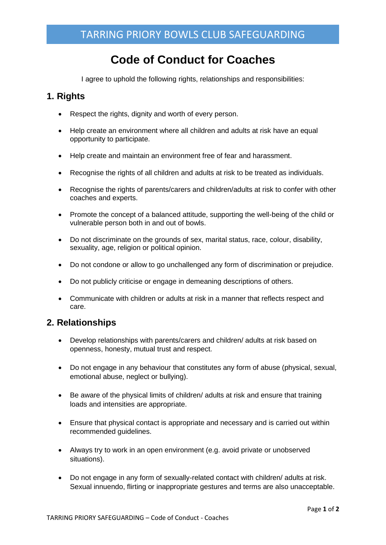# **Code of Conduct for Coaches**

I agree to uphold the following rights, relationships and responsibilities:

### **1. Rights**

- Respect the rights, dignity and worth of every person.
- Help create an environment where all children and adults at risk have an equal opportunity to participate.
- Help create and maintain an environment free of fear and harassment.
- Recognise the rights of all children and adults at risk to be treated as individuals.
- Recognise the rights of parents/carers and children/adults at risk to confer with other coaches and experts.
- Promote the concept of a balanced attitude, supporting the well-being of the child or vulnerable person both in and out of bowls.
- Do not discriminate on the grounds of sex, marital status, race, colour, disability, sexuality, age, religion or political opinion.
- Do not condone or allow to go unchallenged any form of discrimination or prejudice.
- Do not publicly criticise or engage in demeaning descriptions of others.
- Communicate with children or adults at risk in a manner that reflects respect and care.

### **2. Relationships**

- Develop relationships with parents/carers and children/ adults at risk based on openness, honesty, mutual trust and respect.
- Do not engage in any behaviour that constitutes any form of abuse (physical, sexual, emotional abuse, neglect or bullying).
- Be aware of the physical limits of children/ adults at risk and ensure that training loads and intensities are appropriate.
- Ensure that physical contact is appropriate and necessary and is carried out within recommended guidelines.
- Always try to work in an open environment (e.g. avoid private or unobserved situations).
- Do not engage in any form of sexually-related contact with children/ adults at risk. Sexual innuendo, flirting or inappropriate gestures and terms are also unacceptable.